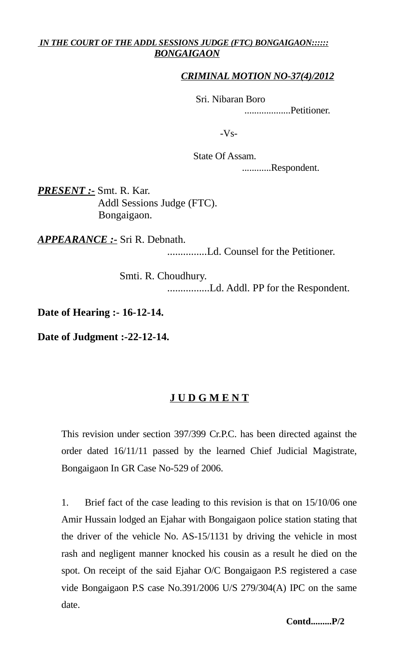## *IN THE COURT OF THE ADDL SESSIONS JUDGE (FTC) BONGAIGAON:::::: BONGAIGAON*

## *CRIMINAL MOTION NO-37(4)/2012*

Sri. Nibaran Boro

...................Petitioner.

-Vs-

 State Of Assam. ............Respondent.

*PRESENT :-* Smt. R. Kar. Addl Sessions Judge (FTC). Bongaigaon.

*APPEARANCE :-* Sri R. Debnath.

...............Ld. Counsel for the Petitioner.

 Smti. R. Choudhury. ................Ld. Addl. PP for the Respondent.

**Date of Hearing :- 16-12-14.**

**Date of Judgment :-22-12-14.**

## **J U D G M E N T**

This revision under section 397/399 Cr.P.C. has been directed against the order dated 16/11/11 passed by the learned Chief Judicial Magistrate, Bongaigaon In GR Case No-529 of 2006.

1. Brief fact of the case leading to this revision is that on 15/10/06 one Amir Hussain lodged an Ejahar with Bongaigaon police station stating that the driver of the vehicle No. AS-15/1131 by driving the vehicle in most rash and negligent manner knocked his cousin as a result he died on the spot. On receipt of the said Ejahar O/C Bongaigaon P.S registered a case vide Bongaigaon P.S case No.391/2006 U/S 279/304(A) IPC on the same date.

 **Contd.........P/2**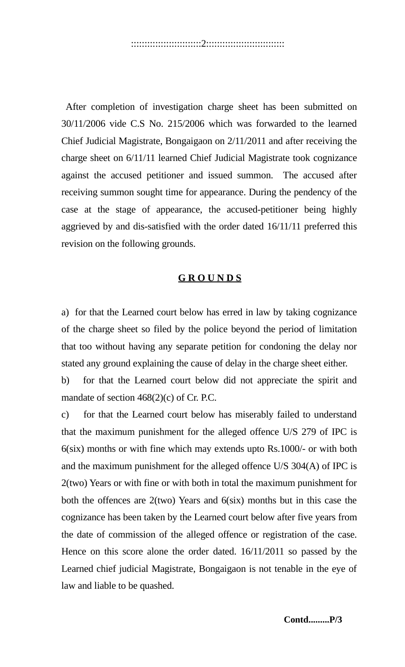After completion of investigation charge sheet has been submitted on 30/11/2006 vide C.S No. 215/2006 which was forwarded to the learned Chief Judicial Magistrate, Bongaigaon on 2/11/2011 and after receiving the charge sheet on 6/11/11 learned Chief Judicial Magistrate took cognizance against the accused petitioner and issued summon. The accused after receiving summon sought time for appearance. During the pendency of the case at the stage of appearance, the accused-petitioner being highly aggrieved by and dis-satisfied with the order dated 16/11/11 preferred this revision on the following grounds.

## **G R O U N D S**

a) for that the Learned court below has erred in law by taking cognizance of the charge sheet so filed by the police beyond the period of limitation that too without having any separate petition for condoning the delay nor stated any ground explaining the cause of delay in the charge sheet either.

b) for that the Learned court below did not appreciate the spirit and mandate of section 468(2)(c) of Cr. P.C.

c) for that the Learned court below has miserably failed to understand that the maximum punishment for the alleged offence U/S 279 of IPC is 6(six) months or with fine which may extends upto Rs.1000/- or with both and the maximum punishment for the alleged offence U/S 304(A) of IPC is 2(two) Years or with fine or with both in total the maximum punishment for both the offences are 2(two) Years and 6(six) months but in this case the cognizance has been taken by the Learned court below after five years from the date of commission of the alleged offence or registration of the case. Hence on this score alone the order dated. 16/11/2011 so passed by the Learned chief judicial Magistrate, Bongaigaon is not tenable in the eye of law and liable to be quashed.

 **Contd.........P/3**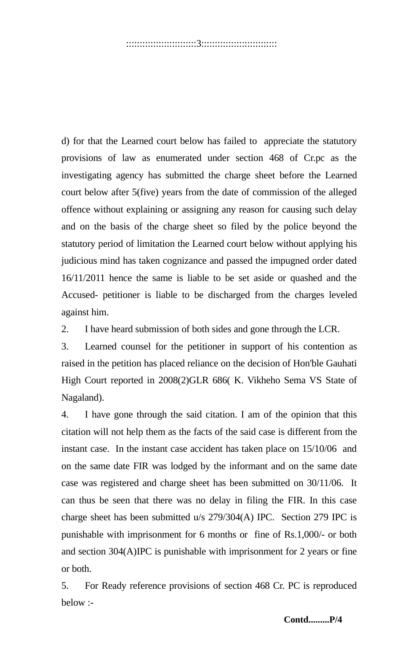d) for that the Learned court below has failed to appreciate the statutory provisions of law as enumerated under section 468 of Cr.pc as the investigating agency has submitted the charge sheet before the Learned court below after 5(five) years from the date of commission of the alleged offence without explaining or assigning any reason for causing such delay and on the basis of the charge sheet so filed by the police beyond the statutory period of limitation the Learned court below without applying his judicious mind has taken cognizance and passed the impugned order dated 16/11/2011 hence the same is liable to be set aside or quashed and the Accused- petitioner is liable to be discharged from the charges leveled against him.

2. I have heard submission of both sides and gone through the LCR.

3. Learned counsel for the petitioner in support of his contention as raised in the petition has placed reliance on the decision of Hon'ble Gauhati High Court reported in 2008(2)GLR 686( K. Vikheho Sema VS State of Nagaland).

4. I have gone through the said citation. I am of the opinion that this citation will not help them as the facts of the said case is different from the instant case. In the instant case accident has taken place on 15/10/06 and on the same date FIR was lodged by the informant and on the same date case was registered and charge sheet has been submitted on 30/11/06. It can thus be seen that there was no delay in filing the FIR. In this case charge sheet has been submitted u/s 279/304(A) IPC. Section 279 IPC is punishable with imprisonment for 6 months or fine of Rs.1,000/- or both and section 304(A)IPC is punishable with imprisonment for 2 years or fine or both.

5. For Ready reference provisions of section 468 Cr. PC is reproduced below :-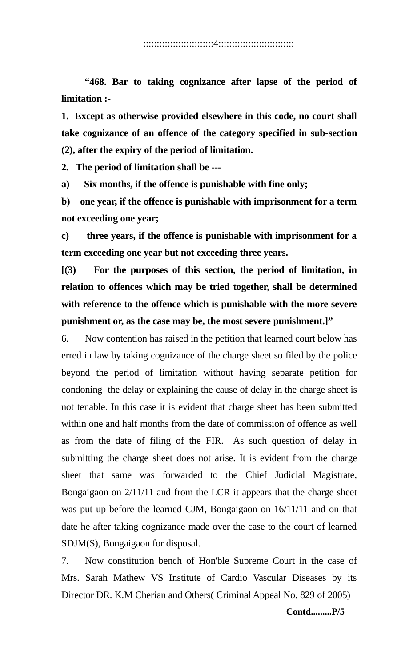**"468. Bar to taking cognizance after lapse of the period of limitation :-**

**1. Except as otherwise provided elsewhere in this code, no court shall take cognizance of an offence of the category specified in sub-section (2), after the expiry of the period of limitation.**

**2. The period of limitation shall be ---**

**a) Six months, if the offence is punishable with fine only;**

**b) one year, if the offence is punishable with imprisonment for a term not exceeding one year;**

**c) three years, if the offence is punishable with imprisonment for a term exceeding one year but not exceeding three years.**

**[(3) For the purposes of this section, the period of limitation, in relation to offences which may be tried together, shall be determined with reference to the offence which is punishable with the more severe punishment or, as the case may be, the most severe punishment.]"** 

6. Now contention has raised in the petition that learned court below has erred in law by taking cognizance of the charge sheet so filed by the police beyond the period of limitation without having separate petition for condoning the delay or explaining the cause of delay in the charge sheet is not tenable. In this case it is evident that charge sheet has been submitted within one and half months from the date of commission of offence as well as from the date of filing of the FIR. As such question of delay in submitting the charge sheet does not arise. It is evident from the charge sheet that same was forwarded to the Chief Judicial Magistrate, Bongaigaon on 2/11/11 and from the LCR it appears that the charge sheet was put up before the learned CJM, Bongaigaon on 16/11/11 and on that date he after taking cognizance made over the case to the court of learned SDJM(S), Bongaigaon for disposal.

7. Now constitution bench of Hon'ble Supreme Court in the case of Mrs. Sarah Mathew VS Institute of Cardio Vascular Diseases by its Director DR. K.M Cherian and Others( Criminal Appeal No. 829 of 2005)

 **Contd.........P/5**